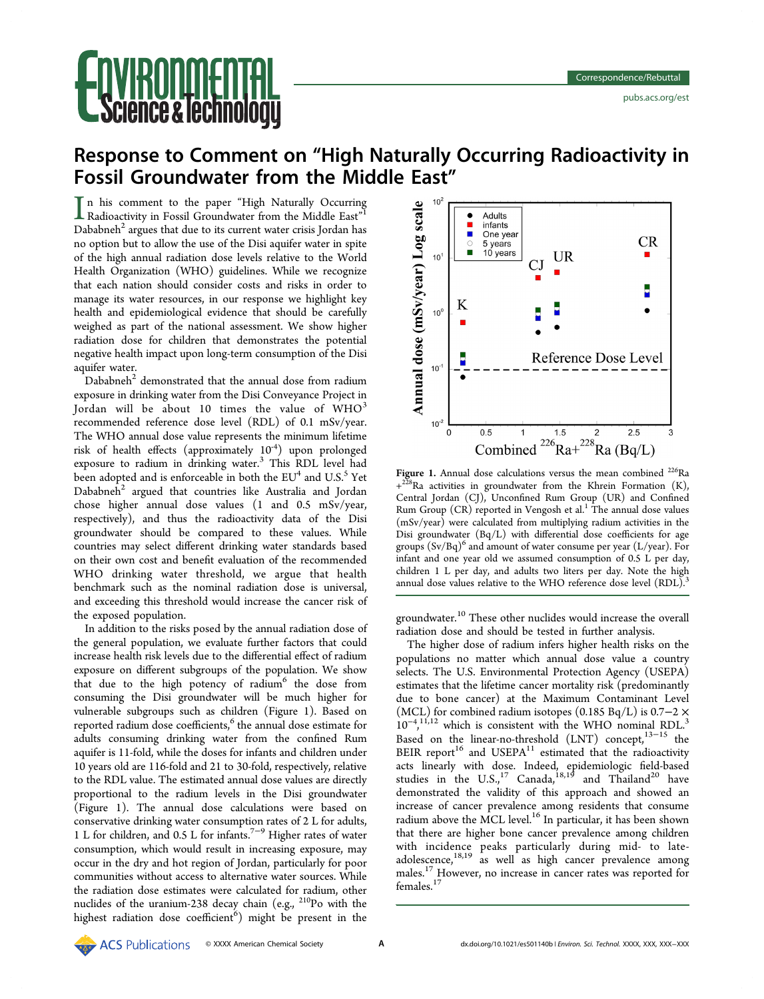# ce & lechnol

## Response to Comment on "High Naturally Occurring Radioactivity in Fossil Groundwater from the Middle East"

 $\prod$ n his comment to the paper "High Naturally Occurring<br>Radioactivity in Fossil Groundwater from the Middle East"<sup>1</sup> Radioactivity in Fossil Groundwater from the Middle East"<sup>[1](#page-1-0)</sup> Dababneh $<sup>2</sup>$  argues that due to its current water crisis Jordan has</sup> no option but to allow the use of the Disi aquifer water in spite of the high annual radiation dose levels relative to the World Health Organization (WHO) guidelines. While we recognize that each nation should consider costs and risks in order to manage its water resources, in our response we highlight key health and epidemiological evidence that should be carefully weighed as part of the national assessment. We show higher radiation dose for children that demonstrates the potential negative health impact upon long-term consumption of the Disi aquifer water.

Dababneh $2$  demonstrated that the annual dose from radium exposure in drinking water from the Disi Conveyance Project in Jordan will be about 10 times the value of  $WHO<sup>3</sup>$  $WHO<sup>3</sup>$  $WHO<sup>3</sup>$ recommended reference dose level (RDL) of 0.1 mSv/year. The WHO annual dose value represents the minimum lifetime risk of health effects (approximately 10<sup>-4</sup>) upon prolonged exposure to radium in drinking water.<sup>[3](#page-1-0)</sup> This RDL level had been adopted and is enforceable in both the EU<sup>4</sup> and U.S.<sup>[5](#page-1-0)</sup> Yet  $Dababneh<sup>2</sup>$  argued that countries like Australia and Jordan chose higher annual dose values (1 and 0.5 mSv/year, respectively), and thus the radioactivity data of the Disi groundwater should be compared to these values. While countries may select different drinking water standards based on their own cost and benefit evaluation of the recommended WHO drinking water threshold, we argue that health benchmark such as the nominal radiation dose is universal, and exceeding this threshold would increase the cancer risk of the exposed population.

In addition to the risks posed by the annual radiation dose of the general population, we evaluate further factors that could increase health risk levels due to the differential effect of radium exposure on different subgroups of the population. We show that due to the high potency of radium<sup>[6](#page-1-0)</sup> the dose from consuming the Disi groundwater will be much higher for vulnerable subgroups such as children (Figure 1). Based on reported radium dose coefficients,<sup>[6](#page-1-0)</sup> the annual dose estimate for adults consuming drinking water from the confined Rum aquifer is 11-fold, while the doses for infants and children under 10 years old are 116-fold and 21 to 30-fold, respectively, relative to the RDL value. The estimated annual dose values are directly proportional to the radium levels in the Disi groundwater (Figure 1). The annual dose calculations were based on conservative drinking water consumption rates of 2 L for adults, 1 L for children, and 0.5 L for infants.[7](#page-1-0)−[9](#page-1-0) Higher rates of water consumption, which would result in increasing exposure, may occur in the dry and hot region of Jordan, particularly for poor communities without access to alternative water sources. While the radiation dose estimates were calculated for radium, other nuclides of the uranium-238 decay chain (e.g., 210Po with the highest radiation dose coefficient<sup>[6](#page-1-0)</sup>) might be present in the



Figure 1. Annual dose calculations versus the mean combined  $^{226}$ Ra  $+^{228}$ Ra activities in groundwater from the Khrein Formation (K), Central Jordan (CJ), Unconfined Rum Group (UR) and Confined Rum Group (CR) reported in Vengosh et al.<sup>[1](#page-1-0)</sup> The annual dose values (mSv/year) were calculated from multiplying radium activities in the Disi groundwater (Bq/L) with differential dose coefficients for age groups  $(Sv/Bq)^6$  $(Sv/Bq)^6$  and amount of water consume per year (L/year). For infant and one year old we assumed consumption of 0.5 L per day, children 1 L per day, and adults two liters per day. Note the high annual dose values relative to the WHO reference dose level (RDL).<sup>[3](#page-1-0)</sup>

groundwater.[10](#page-1-0) These other nuclides would increase the overall radiation dose and should be tested in further analysis.

The higher dose of radium infers higher health risks on the populations no matter which annual dose value a country selects. The U.S. Environmental Protection Agency (USEPA) estimates that the lifetime cancer mortality risk (predominantly due to bone cancer) at the Maximum Contaminant Level (MCL) for combined radium isotopes (0.185 Bq/L) is  $0.7-2 \times$ 10<sup>-4</sup>,<sup>[11,12](#page-1-0)</sup> which is consistent with the WHO nominal RDL.<sup>[3](#page-1-0)</sup> , Based on the linear-no-threshold (LNT) concept,<sup>[13](#page-1-0)-[15](#page-1-0)</sup> the BEIR report<sup>[16](#page-1-0)</sup> and USEPA<sup>[11](#page-1-0)</sup> estimated that the radioactivity acts linearly with dose. Indeed, epidemiologic field-based studies in the  $U.S.,<sup>17</sup>$  $U.S.,<sup>17</sup>$  $U.S.,<sup>17</sup>$  Canada,  $^{18,19}$  $^{18,19}$  $^{18,19}$  and Thailand<sup>[20](#page-1-0)</sup> have demonstrated the validity of this approach and showed an increase of cancer prevalence among residents that consume radium above the MCL level.<sup>[16](#page-1-0)</sup> In particular, it has been shown that there are higher bone cancer prevalence among children with incidence peaks particularly during mid- to lateadolescence, $18,19$  $18,19$  $18,19$  as well as high cancer prevalence among males.[17](#page-1-0) However, no increase in cancer rates was reported for females.<sup>[17](#page-1-0)</sup>